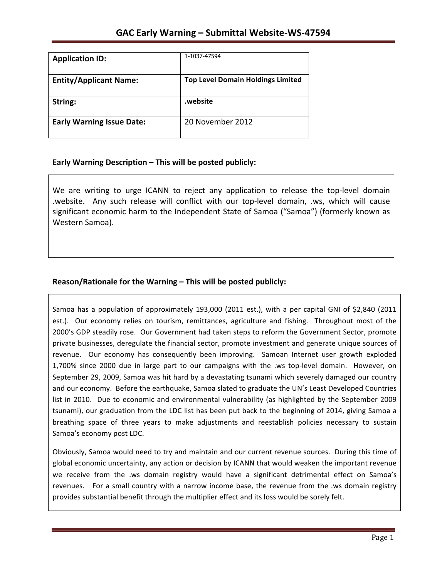| <b>Application ID:</b>           | 1-1037-47594                             |
|----------------------------------|------------------------------------------|
| <b>Entity/Applicant Name:</b>    | <b>Top Level Domain Holdings Limited</b> |
| String:                          | website.                                 |
| <b>Early Warning Issue Date:</b> | 20 November 2012                         |

## **Early Warning Description – This will be posted publicly:**

We are writing to urge ICANN to reject any application to release the top-level domain .website. Any such release will conflict with our top-level domain, .ws, which will cause significant economic harm to the Independent State of Samoa ("Samoa") (formerly known as Western Samoa).

# **Reason/Rationale for the Warning – This will be posted publicly:**

Samoa has a population of approximately 193,000 (2011 est.), with a per capital GNI of \$2,840 (2011 est.). Our economy relies on tourism, remittances, agriculture and fishing. Throughout most of the 2000's GDP steadily rose. Our Government had taken steps to reform the Government Sector, promote private businesses, deregulate the financial sector, promote investment and generate unique sources of revenue. Our economy has consequently been improving. Samoan Internet user growth exploded 1,700% since 2000 due in large part to our campaigns with the .ws top-level domain. However, on September 29, 2009, Samoa was hit hard by a devastating tsunami which severely damaged our country and our economy. Before the earthquake, Samoa slated to graduate the UN's Least Developed Countries list in 2010. Due to economic and environmental vulnerability (as highlighted by the September 2009 tsunami), our graduation from the LDC list has been put back to the beginning of 2014, giving Samoa a breathing space of three years to make adjustments and reestablish policies necessary to sustain Samoa's economy post LDC.

Obviously, Samoa would need to try and maintain and our current revenue sources. During this time of global economic uncertainty, any action or decision by ICANN that would weaken the important revenue we receive from the .ws domain registry would have a significant detrimental effect on Samoa's revenues. For a small country with a narrow income base, the revenue from the .ws domain registry provides substantial benefit through the multiplier effect and its loss would be sorely felt.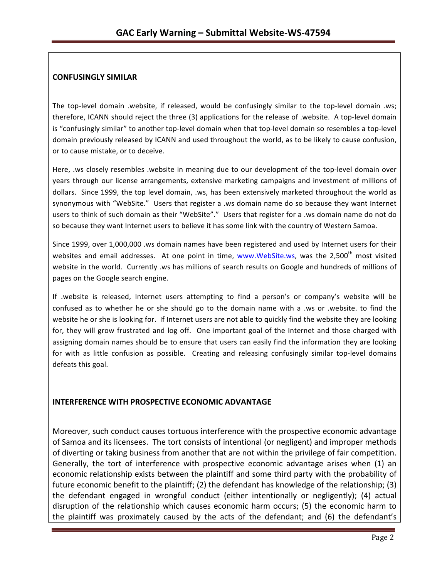## **CONFUSINGLY SIMILAR**

The top-level domain .website, if released, would be confusingly similar to the top-level domain .ws; therefore, ICANN should reject the three (3) applications for the release of .website. A top-level domain is "confusingly similar" to another top-level domain when that top-level domain so resembles a top-level domain previously released by ICANN and used throughout the world, as to be likely to cause confusion, or to cause mistake, or to deceive.

Here, .ws closely resembles .website in meaning due to our development of the top-level domain over years through our license arrangements, extensive marketing campaigns and investment of millions of dollars. Since 1999, the top level domain, .ws, has been extensively marketed throughout the world as synonymous with "WebSite." Users that register a .ws domain name do so because they want Internet users to think of such domain as their "WebSite"." Users that register for a .ws domain name do not do so because they want Internet users to believe it has some link with the country of Western Samoa.

Since 1999, over 1,000,000 .ws domain names have been registered and used by Internet users for their websites and email addresses. At one point in time, www.WebSite.ws, was the 2,500<sup>th</sup> most visited website in the world. Currently .ws has millions of search results on Google and hundreds of millions of pages on the Google search engine.

If .website is released, Internet users attempting to find a person's or company's website will be confused as to whether he or she should go to the domain name with a .ws or .website. to find the website he or she is looking for. If Internet users are not able to quickly find the website they are looking for, they will grow frustrated and log off. One important goal of the Internet and those charged with assigning domain names should be to ensure that users can easily find the information they are looking for with as little confusion as possible. Creating and releasing confusingly similar top-level domains defeats this goal.

## **INTERFERENCE WITH PROSPECTIVE ECONOMIC ADVANTAGE**

Moreover, such conduct causes tortuous interference with the prospective economic advantage of Samoa and its licensees. The tort consists of intentional (or negligent) and improper methods of diverting or taking business from another that are not within the privilege of fair competition. Generally, the tort of interference with prospective economic advantage arises when (1) an economic relationship exists between the plaintiff and some third party with the probability of future economic benefit to the plaintiff; (2) the defendant has knowledge of the relationship; (3) the defendant engaged in wrongful conduct (either intentionally or negligently); (4) actual disruption of the relationship which causes economic harm occurs; (5) the economic harm to the plaintiff was proximately caused by the acts of the defendant; and (6) the defendant's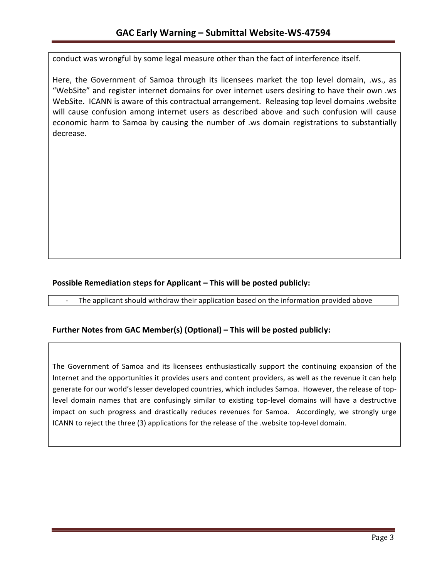conduct was wrongful by some legal measure other than the fact of interference itself.

Here, the Government of Samoa through its licensees market the top level domain, .ws., as "WebSite" and register internet domains for over internet users desiring to have their own .ws WebSite. ICANN is aware of this contractual arrangement. Releasing top level domains .website will cause confusion among internet users as described above and such confusion will cause economic harm to Samoa by causing the number of .ws domain registrations to substantially decrease.

## **Possible Remediation steps for Applicant – This will be posted publicly:**

The applicant should withdraw their application based on the information provided above

## **Further Notes from GAC Member(s) (Optional) – This will be posted publicly:**

The Government of Samoa and its licensees enthusiastically support the continuing expansion of the Internet and the opportunities it provides users and content providers, as well as the revenue it can help generate for our world's lesser developed countries, which includes Samoa. However, the release of toplevel domain names that are confusingly similar to existing top-level domains will have a destructive impact on such progress and drastically reduces revenues for Samoa. Accordingly, we strongly urge ICANN to reject the three (3) applications for the release of the .website top-level domain.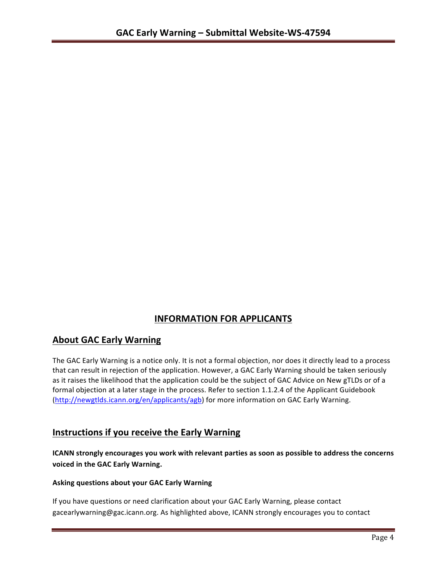# **INFORMATION FOR APPLICANTS**

# **About GAC Early Warning**

The GAC Early Warning is a notice only. It is not a formal objection, nor does it directly lead to a process that can result in rejection of the application. However, a GAC Early Warning should be taken seriously as it raises the likelihood that the application could be the subject of GAC Advice on New gTLDs or of a formal objection at a later stage in the process. Refer to section 1.1.2.4 of the Applicant Guidebook (http://newgtlds.icann.org/en/applicants/agb) for more information on GAC Early Warning.

# **Instructions if you receive the Early Warning**

**ICANN** strongly encourages you work with relevant parties as soon as possible to address the concerns **voiced in the GAC Early Warning.** 

#### **Asking questions about your GAC Early Warning**

If you have questions or need clarification about your GAC Early Warning, please contact gacearlywarning@gac.icann.org. As highlighted above, ICANN strongly encourages you to contact